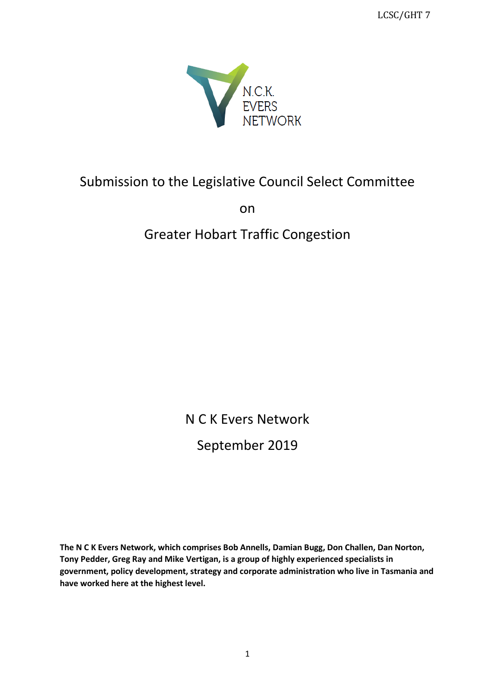LCSC/GHT 7



# Submission to the Legislative Council Select Committee

on

# Greater Hobart Traffic Congestion

N C K Evers Network September 2019

**The N C K Evers Network, which comprises Bob Annells, Damian Bugg, Don Challen, Dan Norton, Tony Pedder, Greg Ray and Mike Vertigan, is a group of highly experienced specialists in government, policy development, strategy and corporate administration who live in Tasmania and have worked here at the highest level.**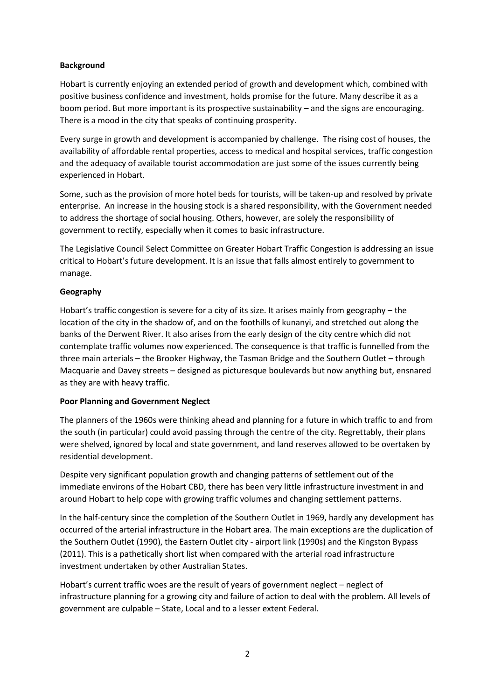#### **Background**

Hobart is currently enjoying an extended period of growth and development which, combined with positive business confidence and investment, holds promise for the future. Many describe it as a boom period. But more important is its prospective sustainability – and the signs are encouraging. There is a mood in the city that speaks of continuing prosperity.

Every surge in growth and development is accompanied by challenge. The rising cost of houses, the availability of affordable rental properties, access to medical and hospital services, traffic congestion and the adequacy of available tourist accommodation are just some of the issues currently being experienced in Hobart.

Some, such as the provision of more hotel beds for tourists, will be taken-up and resolved by private enterprise. An increase in the housing stock is a shared responsibility, with the Government needed to address the shortage of social housing. Others, however, are solely the responsibility of government to rectify, especially when it comes to basic infrastructure.

The Legislative Council Select Committee on Greater Hobart Traffic Congestion is addressing an issue critical to Hobart's future development. It is an issue that falls almost entirely to government to manage.

#### **Geography**

Hobart's traffic congestion is severe for a city of its size. It arises mainly from geography – the location of the city in the shadow of, and on the foothills of kunanyi, and stretched out along the banks of the Derwent River. It also arises from the early design of the city centre which did not contemplate traffic volumes now experienced. The consequence is that traffic is funnelled from the three main arterials – the Brooker Highway, the Tasman Bridge and the Southern Outlet – through Macquarie and Davey streets – designed as picturesque boulevards but now anything but, ensnared as they are with heavy traffic.

#### **Poor Planning and Government Neglect**

The planners of the 1960s were thinking ahead and planning for a future in which traffic to and from the south (in particular) could avoid passing through the centre of the city. Regrettably, their plans were shelved, ignored by local and state government, and land reserves allowed to be overtaken by residential development.

Despite very significant population growth and changing patterns of settlement out of the immediate environs of the Hobart CBD, there has been very little infrastructure investment in and around Hobart to help cope with growing traffic volumes and changing settlement patterns.

In the half-century since the completion of the Southern Outlet in 1969, hardly any development has occurred of the arterial infrastructure in the Hobart area. The main exceptions are the duplication of the Southern Outlet (1990), the Eastern Outlet city - airport link (1990s) and the Kingston Bypass (2011). This is a pathetically short list when compared with the arterial road infrastructure investment undertaken by other Australian States.

Hobart's current traffic woes are the result of years of government neglect – neglect of infrastructure planning for a growing city and failure of action to deal with the problem. All levels of government are culpable – State, Local and to a lesser extent Federal.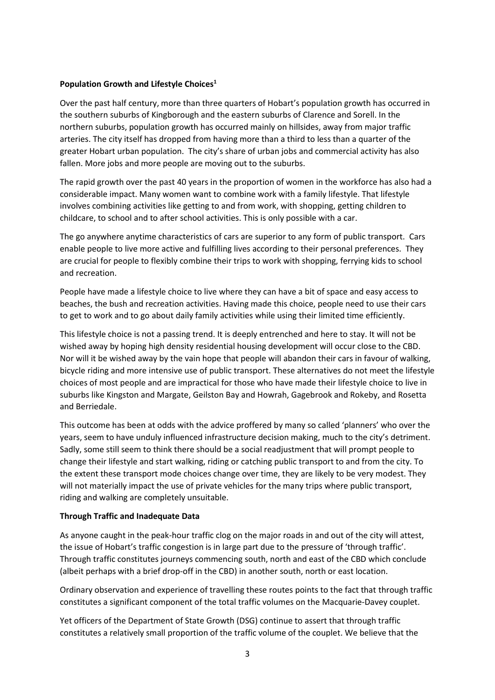#### **Population Growth and Lifestyle Choices<sup>1</sup>**

Over the past half century, more than three quarters of Hobart's population growth has occurred in the southern suburbs of Kingborough and the eastern suburbs of Clarence and Sorell. In the northern suburbs, population growth has occurred mainly on hillsides, away from major traffic arteries. The city itself has dropped from having more than a third to less than a quarter of the greater Hobart urban population. The city's share of urban jobs and commercial activity has also fallen. More jobs and more people are moving out to the suburbs.

The rapid growth over the past 40 years in the proportion of women in the workforce has also had a considerable impact. Many women want to combine work with a family lifestyle. That lifestyle involves combining activities like getting to and from work, with shopping, getting children to childcare, to school and to after school activities. This is only possible with a car.

The go anywhere anytime characteristics of cars are superior to any form of public transport. Cars enable people to live more active and fulfilling lives according to their personal preferences. They are crucial for people to flexibly combine their trips to work with shopping, ferrying kids to school and recreation.

People have made a lifestyle choice to live where they can have a bit of space and easy access to beaches, the bush and recreation activities. Having made this choice, people need to use their cars to get to work and to go about daily family activities while using their limited time efficiently.

This lifestyle choice is not a passing trend. It is deeply entrenched and here to stay. It will not be wished away by hoping high density residential housing development will occur close to the CBD. Nor will it be wished away by the vain hope that people will abandon their cars in favour of walking, bicycle riding and more intensive use of public transport. These alternatives do not meet the lifestyle choices of most people and are impractical for those who have made their lifestyle choice to live in suburbs like Kingston and Margate, Geilston Bay and Howrah, Gagebrook and Rokeby, and Rosetta and Berriedale.

This outcome has been at odds with the advice proffered by many so called 'planners' who over the years, seem to have unduly influenced infrastructure decision making, much to the city's detriment. Sadly, some still seem to think there should be a social readjustment that will prompt people to change their lifestyle and start walking, riding or catching public transport to and from the city. To the extent these transport mode choices change over time, they are likely to be very modest. They will not materially impact the use of private vehicles for the many trips where public transport, riding and walking are completely unsuitable.

#### **Through Traffic and Inadequate Data**

As anyone caught in the peak-hour traffic clog on the major roads in and out of the city will attest, the issue of Hobart's traffic congestion is in large part due to the pressure of 'through traffic'. Through traffic constitutes journeys commencing south, north and east of the CBD which conclude (albeit perhaps with a brief drop-off in the CBD) in another south, north or east location.

Ordinary observation and experience of travelling these routes points to the fact that through traffic constitutes a significant component of the total traffic volumes on the Macquarie-Davey couplet.

Yet officers of the Department of State Growth (DSG) continue to assert that through traffic constitutes a relatively small proportion of the traffic volume of the couplet. We believe that the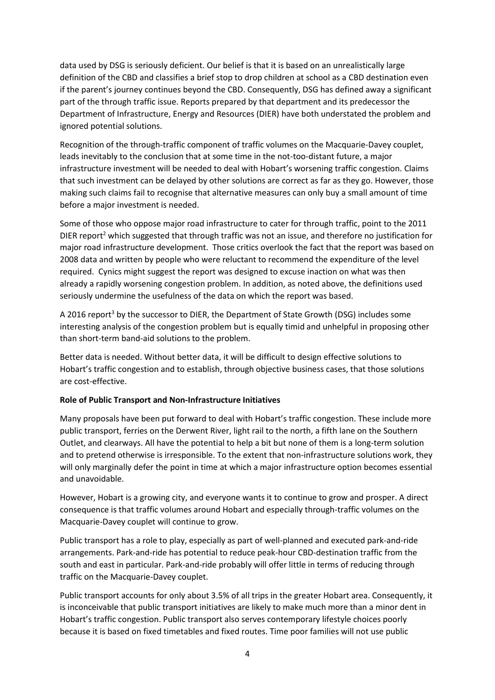data used by DSG is seriously deficient. Our belief is that it is based on an unrealistically large definition of the CBD and classifies a brief stop to drop children at school as a CBD destination even if the parent's journey continues beyond the CBD. Consequently, DSG has defined away a significant part of the through traffic issue. Reports prepared by that department and its predecessor the Department of Infrastructure, Energy and Resources (DIER) have both understated the problem and ignored potential solutions.

Recognition of the through-traffic component of traffic volumes on the Macquarie-Davey couplet, leads inevitably to the conclusion that at some time in the not-too-distant future, a major infrastructure investment will be needed to deal with Hobart's worsening traffic congestion. Claims that such investment can be delayed by other solutions are correct as far as they go. However, those making such claims fail to recognise that alternative measures can only buy a small amount of time before a major investment is needed.

Some of those who oppose major road infrastructure to cater for through traffic, point to the 2011 DIER report<sup>2</sup> which suggested that through traffic was not an issue, and therefore no justification for major road infrastructure development. Those critics overlook the fact that the report was based on 2008 data and written by people who were reluctant to recommend the expenditure of the level required. Cynics might suggest the report was designed to excuse inaction on what was then already a rapidly worsening congestion problem. In addition, as noted above, the definitions used seriously undermine the usefulness of the data on which the report was based.

A 2016 report<sup>3</sup> by the successor to DIER, the Department of State Growth (DSG) includes some interesting analysis of the congestion problem but is equally timid and unhelpful in proposing other than short-term band-aid solutions to the problem.

Better data is needed. Without better data, it will be difficult to design effective solutions to Hobart's traffic congestion and to establish, through objective business cases, that those solutions are cost-effective.

#### **Role of Public Transport and Non-Infrastructure Initiatives**

Many proposals have been put forward to deal with Hobart's traffic congestion. These include more public transport, ferries on the Derwent River, light rail to the north, a fifth lane on the Southern Outlet, and clearways. All have the potential to help a bit but none of them is a long-term solution and to pretend otherwise is irresponsible. To the extent that non-infrastructure solutions work, they will only marginally defer the point in time at which a major infrastructure option becomes essential and unavoidable.

However, Hobart is a growing city, and everyone wants it to continue to grow and prosper. A direct consequence is that traffic volumes around Hobart and especially through-traffic volumes on the Macquarie-Davey couplet will continue to grow.

Public transport has a role to play, especially as part of well-planned and executed park-and-ride arrangements. Park-and-ride has potential to reduce peak-hour CBD-destination traffic from the south and east in particular. Park-and-ride probably will offer little in terms of reducing through traffic on the Macquarie-Davey couplet.

Public transport accounts for only about 3.5% of all trips in the greater Hobart area. Consequently, it is inconceivable that public transport initiatives are likely to make much more than a minor dent in Hobart's traffic congestion. Public transport also serves contemporary lifestyle choices poorly because it is based on fixed timetables and fixed routes. Time poor families will not use public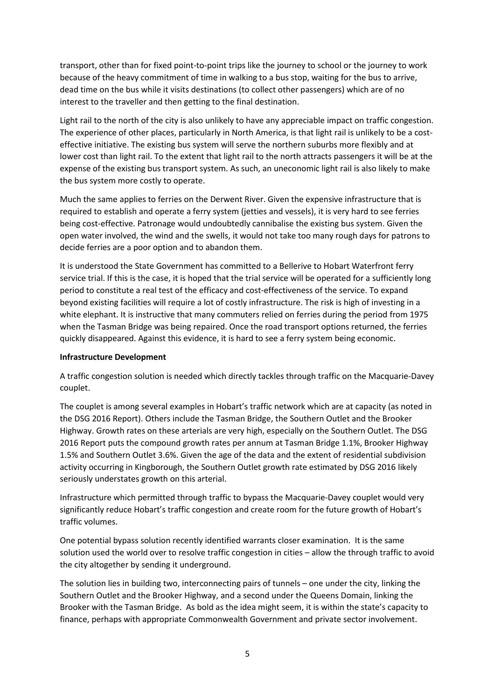transport, other than for fixed point-to-point trips like the journey to school or the journey to work because of the heavy commitment of time in walking to a bus stop, waiting for the bus to arrive, dead time on the bus while it visits destinations (to collect other passengers) which are of no interest to the traveller and then getting to the final destination.

Light rail to the north of the city is also unlikely to have any appreciable impact on traffic congestion. The experience of other places, particularly in North America, is that light rail is unlikely to be a costeffective initiative. The existing bus system will serve the northern suburbs more flexibly and at lower cost than light rail. To the extent that light rail to the north attracts passengers it will be at the expense of the existing bus transport system. As such, an uneconomic light rail is also likely to make the bus system more costly to operate.

Much the same applies to ferries on the Derwent River. Given the expensive infrastructure that is required to establish and operate a ferry system (jetties and vessels), it is very hard to see ferries being cost-effective. Patronage would undoubtedly cannibalise the existing bus system. Given the open water involved, the wind and the swells, it would not take too many rough days for patrons to decide ferries are a poor option and to abandon them.

It is understood the State Government has committed to a Bellerive to Hobart Waterfront ferry service trial. If this is the case, it is hoped that the trial service will be operated for a sufficiently long period to constitute a real test of the efficacy and cost-effectiveness of the service. To expand beyond existing facilities will require a lot of costly infrastructure. The risk is high of investing in a white elephant. It is instructive that many commuters relied on ferries during the period from 1975 when the Tasman Bridge was being repaired. Once the road transport options returned, the ferries quickly disappeared. Against this evidence, it is hard to see a ferry system being economic.

#### **Infrastructure Development**

A traffic congestion solution is needed which directly tackles through traffic on the Macquarie-Davey couplet.

The couplet is among several examples in Hobart's traffic network which are at capacity (as noted in the DSG 2016 Report). Others include the Tasman Bridge, the Southern Outlet and the Brooker Highway. Growth rates on these arterials are very high, especially on the Southern Outlet. The DSG 2016 Report puts the compound growth rates per annum at Tasman Bridge 1.1%, Brooker Highway 1.5% and Southern Outlet 3.6%. Given the age of the data and the extent of residential subdivision activity occurring in Kingborough, the Southern Outlet growth rate estimated by DSG 2016 likely seriously understates growth on this arterial.

Infrastructure which permitted through traffic to bypass the Macquarie-Davey couplet would very significantly reduce Hobart's traffic congestion and create room for the future growth of Hobart's traffic volumes.

One potential bypass solution recently identified warrants closer examination. It is the same solution used the world over to resolve traffic congestion in cities – allow the through traffic to avoid the city altogether by sending it underground.

The solution lies in building two, interconnecting pairs of tunnels – one under the city, linking the Southern Outlet and the Brooker Highway, and a second under the Queens Domain, linking the Brooker with the Tasman Bridge. As bold as the idea might seem, it is within the state's capacity to finance, perhaps with appropriate Commonwealth Government and private sector involvement.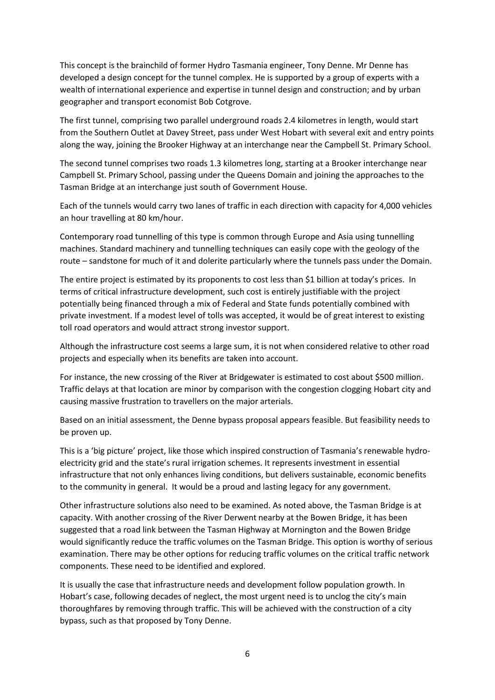This concept is the brainchild of former Hydro Tasmania engineer, Tony Denne. Mr Denne has developed a design concept for the tunnel complex. He is supported by a group of experts with a wealth of international experience and expertise in tunnel design and construction; and by urban geographer and transport economist Bob Cotgrove.

The first tunnel, comprising two parallel underground roads 2.4 kilometres in length, would start from the Southern Outlet at Davey Street, pass under West Hobart with several exit and entry points along the way, joining the Brooker Highway at an interchange near the Campbell St. Primary School.

The second tunnel comprises two roads 1.3 kilometres long, starting at a Brooker interchange near Campbell St. Primary School, passing under the Queens Domain and joining the approaches to the Tasman Bridge at an interchange just south of Government House.

Each of the tunnels would carry two lanes of traffic in each direction with capacity for 4,000 vehicles an hour travelling at 80 km/hour.

Contemporary road tunnelling of this type is common through Europe and Asia using tunnelling machines. Standard machinery and tunnelling techniques can easily cope with the geology of the route – sandstone for much of it and dolerite particularly where the tunnels pass under the Domain.

The entire project is estimated by its proponents to cost less than \$1 billion at today's prices. In terms of critical infrastructure development, such cost is entirely justifiable with the project potentially being financed through a mix of Federal and State funds potentially combined with private investment. If a modest level of tolls was accepted, it would be of great interest to existing toll road operators and would attract strong investor support.

Although the infrastructure cost seems a large sum, it is not when considered relative to other road projects and especially when its benefits are taken into account.

For instance, the new crossing of the River at Bridgewater is estimated to cost about \$500 million. Traffic delays at that location are minor by comparison with the congestion clogging Hobart city and causing massive frustration to travellers on the major arterials.

Based on an initial assessment, the Denne bypass proposal appears feasible. But feasibility needs to be proven up.

This is a 'big picture' project, like those which inspired construction of Tasmania's renewable hydroelectricity grid and the state's rural irrigation schemes. It represents investment in essential infrastructure that not only enhances living conditions, but delivers sustainable, economic benefits to the community in general. It would be a proud and lasting legacy for any government.

Other infrastructure solutions also need to be examined. As noted above, the Tasman Bridge is at capacity. With another crossing of the River Derwent nearby at the Bowen Bridge, it has been suggested that a road link between the Tasman Highway at Mornington and the Bowen Bridge would significantly reduce the traffic volumes on the Tasman Bridge. This option is worthy of serious examination. There may be other options for reducing traffic volumes on the critical traffic network components. These need to be identified and explored.

It is usually the case that infrastructure needs and development follow population growth. In Hobart's case, following decades of neglect, the most urgent need is to unclog the city's main thoroughfares by removing through traffic. This will be achieved with the construction of a city bypass, such as that proposed by Tony Denne.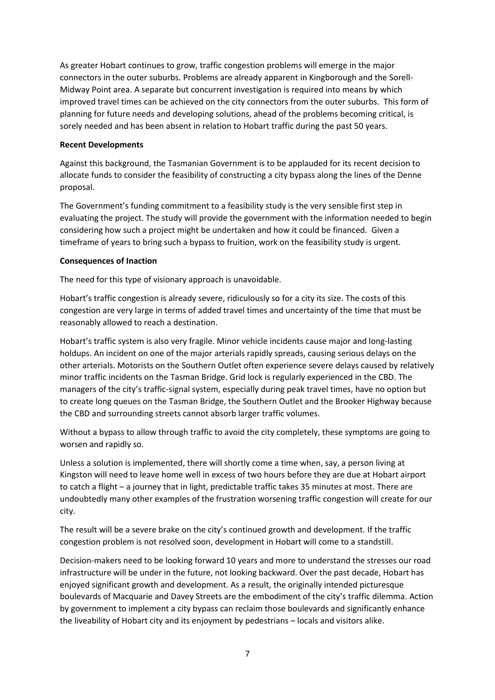As greater Hobart continues to grow, traffic congestion problems will emerge in the major connectors in the outer suburbs. Problems are already apparent in Kingborough and the Sorell-Midway Point area. A separate but concurrent investigation is required into means by which improved travel times can be achieved on the city connectors from the outer suburbs. This form of planning for future needs and developing solutions, ahead of the problems becoming critical, is sorely needed and has been absent in relation to Hobart traffic during the past 50 years.

#### **Recent Developments**

Against this background, the Tasmanian Government is to be applauded for its recent decision to allocate funds to consider the feasibility of constructing a city bypass along the lines of the Denne proposal.

The Government's funding commitment to a feasibility study is the very sensible first step in evaluating the project. The study will provide the government with the information needed to begin considering how such a project might be undertaken and how it could be financed. Given a timeframe of years to bring such a bypass to fruition, work on the feasibility study is urgent.

#### **Consequences of Inaction**

The need for this type of visionary approach is unavoidable.

Hobart's traffic congestion is already severe, ridiculously so for a city its size. The costs of this congestion are very large in terms of added travel times and uncertainty of the time that must be reasonably allowed to reach a destination.

Hobart's traffic system is also very fragile. Minor vehicle incidents cause major and long-lasting holdups. An incident on one of the major arterials rapidly spreads, causing serious delays on the other arterials. Motorists on the Southern Outlet often experience severe delays caused by relatively minor traffic incidents on the Tasman Bridge. Grid lock is regularly experienced in the CBD. The managers of the city's traffic-signal system, especially during peak travel times, have no option but to create long queues on the Tasman Bridge, the Southern Outlet and the Brooker Highway because the CBD and surrounding streets cannot absorb larger traffic volumes.

Without a bypass to allow through traffic to avoid the city completely, these symptoms are going to worsen and rapidly so.

Unless a solution is implemented, there will shortly come a time when, say, a person living at Kingston will need to leave home well in excess of two hours before they are due at Hobart airport to catch a flight – a journey that in light, predictable traffic takes 35 minutes at most. There are undoubtedly many other examples of the frustration worsening traffic congestion will create for our city.

The result will be a severe brake on the city's continued growth and development. If the traffic congestion problem is not resolved soon, development in Hobart will come to a standstill.

Decision-makers need to be looking forward 10 years and more to understand the stresses our road infrastructure will be under in the future, not looking backward. Over the past decade, Hobart has enjoyed significant growth and development. As a result, the originally intended picturesque boulevards of Macquarie and Davey Streets are the embodiment of the city's traffic dilemma. Action by government to implement a city bypass can reclaim those boulevards and significantly enhance the liveability of Hobart city and its enjoyment by pedestrians – locals and visitors alike.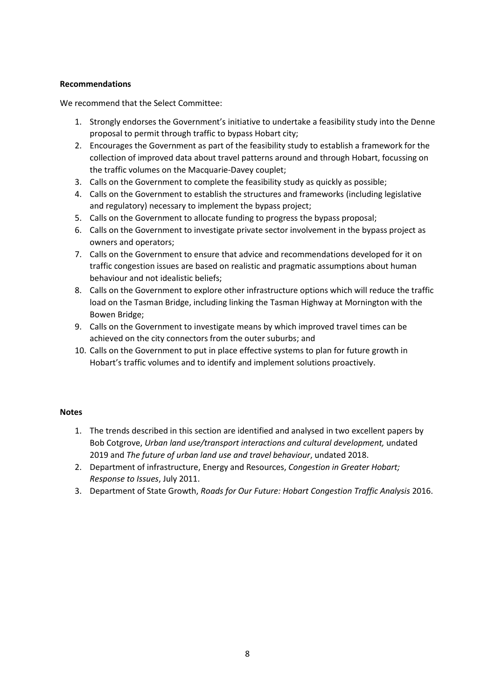#### **Recommendations**

We recommend that the Select Committee:

- 1. Strongly endorses the Government's initiative to undertake a feasibility study into the Denne proposal to permit through traffic to bypass Hobart city;
- 2. Encourages the Government as part of the feasibility study to establish a framework for the collection of improved data about travel patterns around and through Hobart, focussing on the traffic volumes on the Macquarie-Davey couplet;
- 3. Calls on the Government to complete the feasibility study as quickly as possible;
- 4. Calls on the Government to establish the structures and frameworks (including legislative and regulatory) necessary to implement the bypass project;
- 5. Calls on the Government to allocate funding to progress the bypass proposal;
- 6. Calls on the Government to investigate private sector involvement in the bypass project as owners and operators;
- 7. Calls on the Government to ensure that advice and recommendations developed for it on traffic congestion issues are based on realistic and pragmatic assumptions about human behaviour and not idealistic beliefs;
- 8. Calls on the Government to explore other infrastructure options which will reduce the traffic load on the Tasman Bridge, including linking the Tasman Highway at Mornington with the Bowen Bridge;
- 9. Calls on the Government to investigate means by which improved travel times can be achieved on the city connectors from the outer suburbs; and
- 10. Calls on the Government to put in place effective systems to plan for future growth in Hobart's traffic volumes and to identify and implement solutions proactively.

#### **Notes**

- 1. The trends described in this section are identified and analysed in two excellent papers by Bob Cotgrove, *Urban land use/transport interactions and cultural development,* undated 2019 and *The future of urban land use and travel behaviour*, undated 2018.
- 2. Department of infrastructure, Energy and Resources, *Congestion in Greater Hobart; Response to Issues*, July 2011.
- 3. Department of State Growth, *Roads for Our Future: Hobart Congestion Traffic Analysis* 2016.